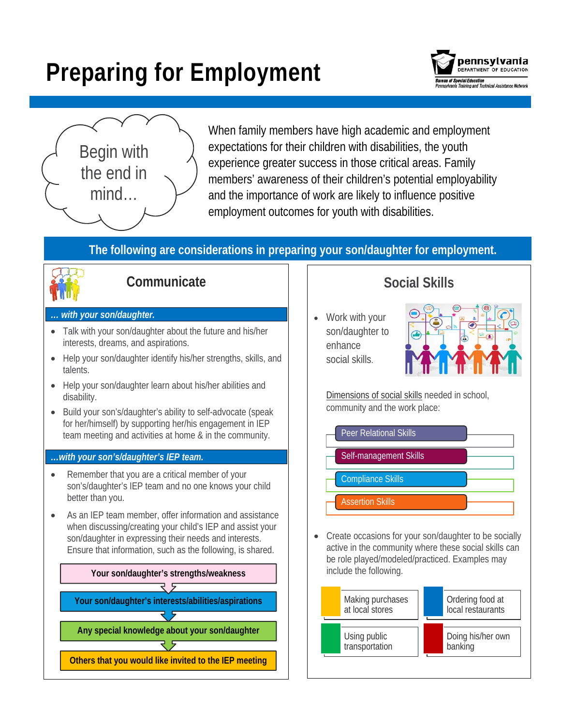# **Preparing for Employment**





When family members have high academic and employment expectations for their children with disabilities, the youth experience greater success in those critical areas. Family members' awareness of their children's potential employability and the importance of work are likely to influence positive employment outcomes for youth with disabilities.

#### **The following are considerations in preparing your son/daughter for employment.**



### **Communicate**

#### *… with your son/daughter.*

- Talk with your son/daughter about the future and his/her interests, dreams, and aspirations.
- Help your son/daughter identify his/her strengths, skills, and talents.
- Help your son/daughter learn about his/her abilities and disability.
- Build your son's/daughter's ability to self-advocate (speak for her/himself) by supporting her/his engagement in IEP team meeting and activities at home & in the community.

#### *…with your son's/daughter's IEP team.*

- Remember that you are a critical member of your son's/daughter's IEP team and no one knows your child better than you.
- As an IEP team member, offer information and assistance when discussing/creating your child's IEP and assist your son/daughter in expressing their needs and interests. Ensure that information, such as the following, is shared.



## **Social Skills**

• Work with your son/daughter to enhance social skills.



[Dimensions of social skills](http://www.ncset.org/publications/printresource.asp?id=1749) needed in school, community and the work place:



• Create occasions for your son/daughter to be socially active in the community where these social skills can be role played/modeled/practiced. Examples may include the following.